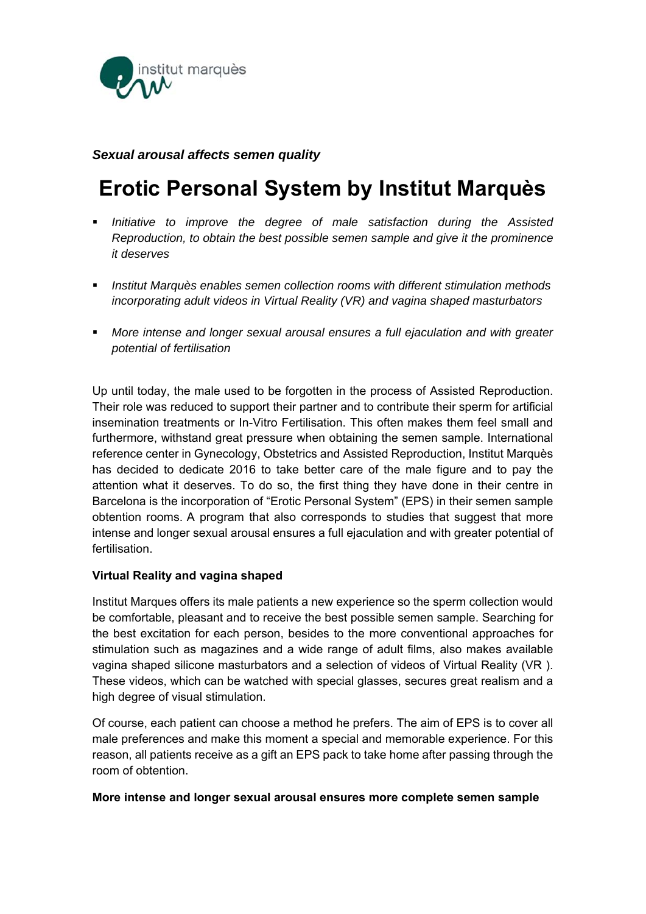

# *Sexual arousal affects semen quality*

# **Erotic Personal System by Institut Marquès**

- *Initiative to improve the degree of male satisfaction during the Assisted Reproduction, to obtain the best possible semen sample and give it the prominence it deserves*
- *Institut Marquès enables semen collection rooms with different stimulation methods incorporating adult videos in Virtual Reality (VR) and vagina shaped masturbators*
- *More intense and longer sexual arousal ensures a full ejaculation and with greater potential of fertilisation*

Up until today, the male used to be forgotten in the process of Assisted Reproduction. Their role was reduced to support their partner and to contribute their sperm for artificial insemination treatments or In-Vitro Fertilisation. This often makes them feel small and furthermore, withstand great pressure when obtaining the semen sample. International reference center in Gynecology, Obstetrics and Assisted Reproduction, Institut Marquès has decided to dedicate 2016 to take better care of the male figure and to pay the attention what it deserves. To do so, the first thing they have done in their centre in Barcelona is the incorporation of "Erotic Personal System" (EPS) in their semen sample obtention rooms. A program that also corresponds to studies that suggest that more intense and longer sexual arousal ensures a full ejaculation and with greater potential of fertilisation.

# **Virtual Reality and vagina shaped**

Institut Marques offers its male patients a new experience so the sperm collection would be comfortable, pleasant and to receive the best possible semen sample. Searching for the best excitation for each person, besides to the more conventional approaches for stimulation such as magazines and a wide range of adult films, also makes available vagina shaped silicone masturbators and a selection of videos of Virtual Reality (VR ). These videos, which can be watched with special glasses, secures great realism and a high degree of visual stimulation.

Of course, each patient can choose a method he prefers. The aim of EPS is to cover all male preferences and make this moment a special and memorable experience. For this reason, all patients receive as a gift an EPS pack to take home after passing through the room of obtention.

### **More intense and longer sexual arousal ensures more complete semen sample**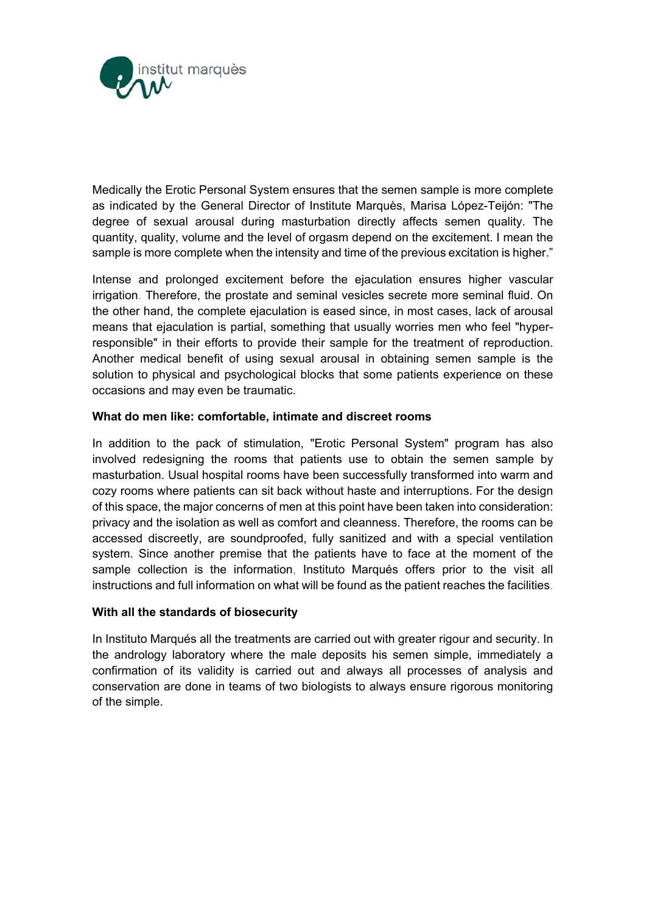

Medically the Erotic Personal System ensures that the semen sample is more complete as indicated by the General Director of Institute Marquès, Marisa López-Teijón: "The degree of sexual arousal during masturbation directly affects semen quality. The quantity, quality, volume and the level of orgasm depend on the excitement. I mean the sample is more complete when the intensity and time of the previous excitation is higher."

Intense and prolonged excitement before the ejaculation ensures higher vascular irrigation. Therefore, the prostate and seminal vesicles secrete more seminal fluid. On the other hand, the complete ejaculation is eased since, in most cases, lack of arousal means that ejaculation is partial, something that usually worries men who feel "hyperresponsible" in their efforts to provide their sample for the treatment of reproduction. Another medical benefit of using sexual arousal in obtaining semen sample is the solution to physical and psychological blocks that some patients experience on these occasions and may even be traumatic.

# **What do men like: comfortable, intimate and discreet rooms**

In addition to the pack of stimulation, "Erotic Personal System" program has also involved redesigning the rooms that patients use to obtain the semen sample by masturbation. Usual hospital rooms have been successfully transformed into warm and cozy rooms where patients can sit back without haste and interruptions. For the design of this space, the major concerns of men at this point have been taken into consideration: privacy and the isolation as well as comfort and cleanness. Therefore, the rooms can be accessed discreetly, are soundproofed, fully sanitized and with a special ventilation system. Since another premise that the patients have to face at the moment of the sample collection is the information, Instituto Marqués offers prior to the visit all instructions and full information on what will be found as the patient reaches the facilities.

### **With all the standards of biosecurity**

In Instituto Marqués all the treatments are carried out with greater rigour and security. In the andrology laboratory where the male deposits his semen simple, immediately a confirmation of its validity is carried out and always all processes of analysis and conservation are done in teams of two biologists to always ensure rigorous monitoring of the simple.